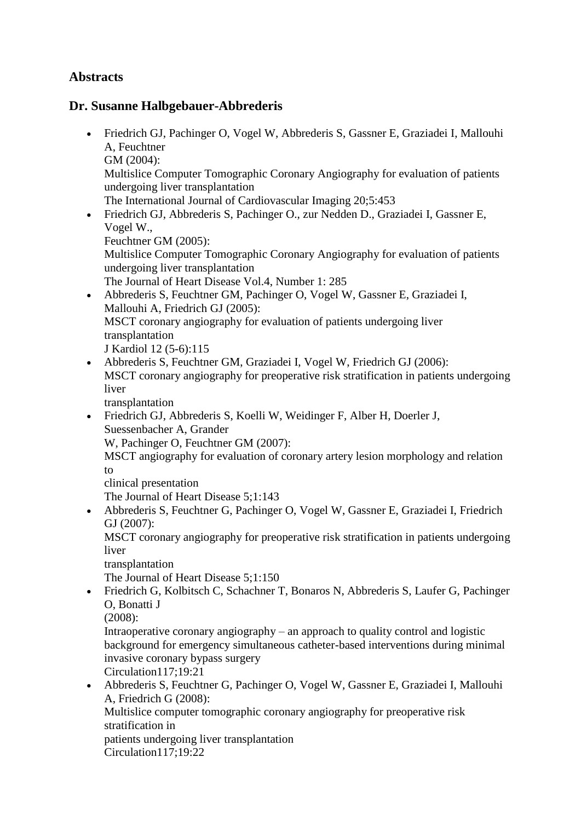## **Abstracts**

## **Dr. Susanne Halbgebauer-Abbrederis**

- Friedrich GJ, Pachinger O, Vogel W, Abbrederis S, Gassner E, Graziadei I, Mallouhi A, Feuchtner GM (2004): Multislice Computer Tomographic Coronary Angiography for evaluation of patients undergoing liver transplantation The International Journal of Cardiovascular Imaging 20;5:453 Friedrich GJ, Abbrederis S, Pachinger O., zur Nedden D., Graziadei I, Gassner E, Vogel W.,
	- Feuchtner GM (2005):
	- Multislice Computer Tomographic Coronary Angiography for evaluation of patients undergoing liver transplantation
	- The Journal of Heart Disease Vol.4, Number 1: 285
- Abbrederis S, Feuchtner GM, Pachinger O, Vogel W, Gassner E, Graziadei I, Mallouhi A, Friedrich GJ (2005): MSCT coronary angiography for evaluation of patients undergoing liver transplantation J Kardiol 12 (5-6):115
- Abbrederis S, Feuchtner GM, Graziadei I, Vogel W, Friedrich GJ (2006): MSCT coronary angiography for preoperative risk stratification in patients undergoing liver

transplantation

 Friedrich GJ, Abbrederis S, Koelli W, Weidinger F, Alber H, Doerler J, Suessenbacher A, Grander

W, Pachinger O, Feuchtner GM (2007):

MSCT angiography for evaluation of coronary artery lesion morphology and relation to

clinical presentation

The Journal of Heart Disease 5;1:143

 Abbrederis S, Feuchtner G, Pachinger O, Vogel W, Gassner E, Graziadei I, Friedrich GJ (2007):

MSCT coronary angiography for preoperative risk stratification in patients undergoing liver

transplantation

The Journal of Heart Disease 5;1:150

 Friedrich G, Kolbitsch C, Schachner T, Bonaros N, Abbrederis S, Laufer G, Pachinger O, Bonatti J

(2008):

Intraoperative coronary angiography – an approach to quality control and logistic background for emergency simultaneous catheter-based interventions during minimal invasive coronary bypass surgery Circulation117;19:21

 Abbrederis S, Feuchtner G, Pachinger O, Vogel W, Gassner E, Graziadei I, Mallouhi A, Friedrich G (2008): Multislice computer tomographic coronary angiography for preoperative risk stratification in

patients undergoing liver transplantation

Circulation117;19:22